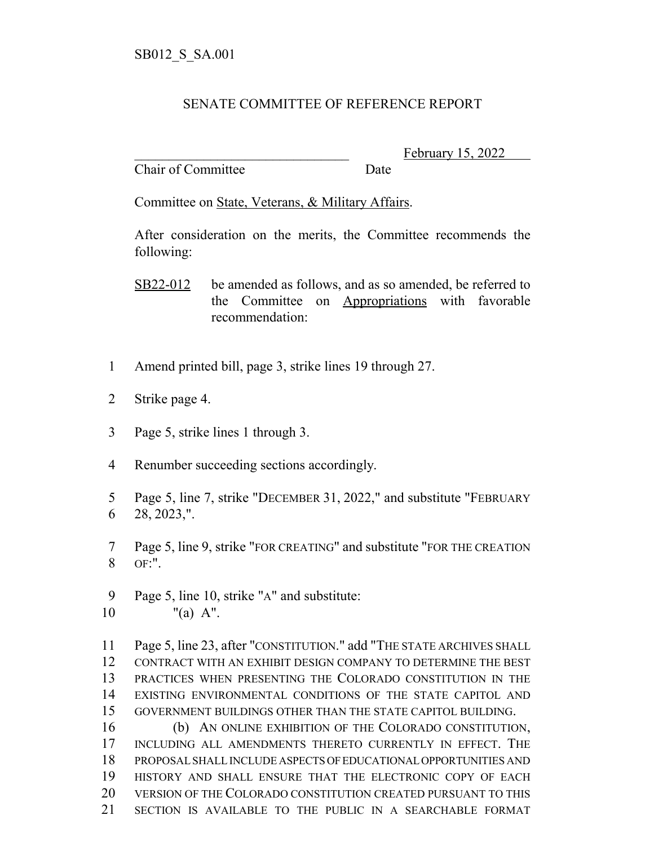## SENATE COMMITTEE OF REFERENCE REPORT

Chair of Committee Date

February 15, 2022

Committee on State, Veterans, & Military Affairs.

After consideration on the merits, the Committee recommends the following:

SB22-012 be amended as follows, and as so amended, be referred to the Committee on Appropriations with favorable recommendation:

- Amend printed bill, page 3, strike lines 19 through 27.
- Strike page 4.
- Page 5, strike lines 1 through 3.
- Renumber succeeding sections accordingly.
- Page 5, line 7, strike "DECEMBER 31, 2022," and substitute "FEBRUARY 28, 2023,".
- Page 5, line 9, strike "FOR CREATING" and substitute "FOR THE CREATION OF:".
- Page 5, line 10, strike "A" and substitute: "(a) A".

 Page 5, line 23, after "CONSTITUTION." add "THE STATE ARCHIVES SHALL CONTRACT WITH AN EXHIBIT DESIGN COMPANY TO DETERMINE THE BEST PRACTICES WHEN PRESENTING THE COLORADO CONSTITUTION IN THE EXISTING ENVIRONMENTAL CONDITIONS OF THE STATE CAPITOL AND GOVERNMENT BUILDINGS OTHER THAN THE STATE CAPITOL BUILDING.

 (b) AN ONLINE EXHIBITION OF THE COLORADO CONSTITUTION, INCLUDING ALL AMENDMENTS THERETO CURRENTLY IN EFFECT. THE PROPOSAL SHALL INCLUDE ASPECTS OF EDUCATIONAL OPPORTUNITIES AND HISTORY AND SHALL ENSURE THAT THE ELECTRONIC COPY OF EACH VERSION OF THE COLORADO CONSTITUTION CREATED PURSUANT TO THIS SECTION IS AVAILABLE TO THE PUBLIC IN A SEARCHABLE FORMAT